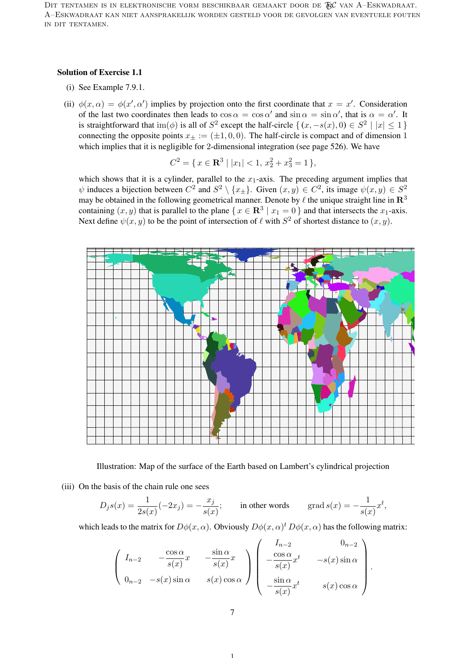DIT TENTAMEN IS IN ELEKTRONISCHE VORM BESCHIKBAAR GEMAAKT DOOR DE  $\mathcal{R}$ C van A–Eskwadraat. A–Eskwadraat kan niet aansprakelijk worden gesteld voor de gevolgen van eventuele fouten in dit tentamen.

## Solution of Exercise 1.1

- (i) See Example 7.9.1.
- (ii)  $\phi(x,\alpha) = \phi(x',\alpha')$  implies by projection onto the first coordinate that  $x = x'$ . Consideration of the last two coordinates then leads to  $\cos \alpha = \cos \alpha'$  and  $\sin \alpha = \sin \alpha'$ , that is  $\alpha = \alpha'$ . It is straightforward that  $\text{im}(\phi)$  is all of  $S^2$  except the half-circle  $\{(x, -s(x), 0) \in S^2 \mid |x| \leq 1\}$ connecting the opposite points  $x_{\pm} := (\pm 1, 0, 0)$ . The half-circle is compact and of dimension 1 which implies that it is negligible for 2-dimensional integration (see page 526). We have

$$
C^2 = \{ x \in \mathbf{R}^3 \mid |x_1| < 1, \, x_2^2 + x_3^2 = 1 \},
$$

which shows that it is a cylinder, parallel to the  $x_1$ -axis. The preceding argument implies that  $\psi$  induces a bijection between  $C^2$  and  $S^2 \setminus \{x_{\pm}\}\$ . Given  $(x, y) \in C^2$ , its image  $\psi(x, y) \in S^2$ may be obtained in the following geometrical manner. Denote by  $\ell$  the unique straight line in  $\mathbb{R}^3$ containing  $(x, y)$  that is parallel to the plane  $\{x \in \mathbb{R}^3 \mid x_1 = 0\}$  and that intersects the  $x_1$ -axis. Next define  $\psi(x, y)$  to be the point of intersection of  $\ell$  with  $S^2$  of shortest distance to  $(x, y)$ .



Illustration: Map of the surface of the Earth based on Lambert's cylindrical projection

(iii) On the basis of the chain rule one sees

$$
D_j s(x) = \frac{1}{2s(x)}(-2x_j) = -\frac{x_j}{s(x)};
$$
 in other words grad  $s(x) = -\frac{1}{s(x)}x^t$ ,

which leads to the matrix for  $D\phi(x,\alpha)$ . Obviously  $D\phi(x,\alpha)^t D\phi(x,\alpha)$  has the following matrix:

$$
\left(\begin{array}{ccc} I_{n-2} & -\frac{\cos\alpha}{s(x)}x & -\frac{\sin\alpha}{s(x)}x \\ 0_{n-2} & -s(x)\sin\alpha & s(x)\cos\alpha \end{array}\right) \left(\begin{array}{ccc} I_{n-2} & 0_{n-2} \\ -\frac{\cos\alpha}{s(x)}x^t & -s(x)\sin\alpha \\ -\frac{\sin\alpha}{s(x)}x^t & s(x)\cos\alpha \end{array}\right).
$$

1